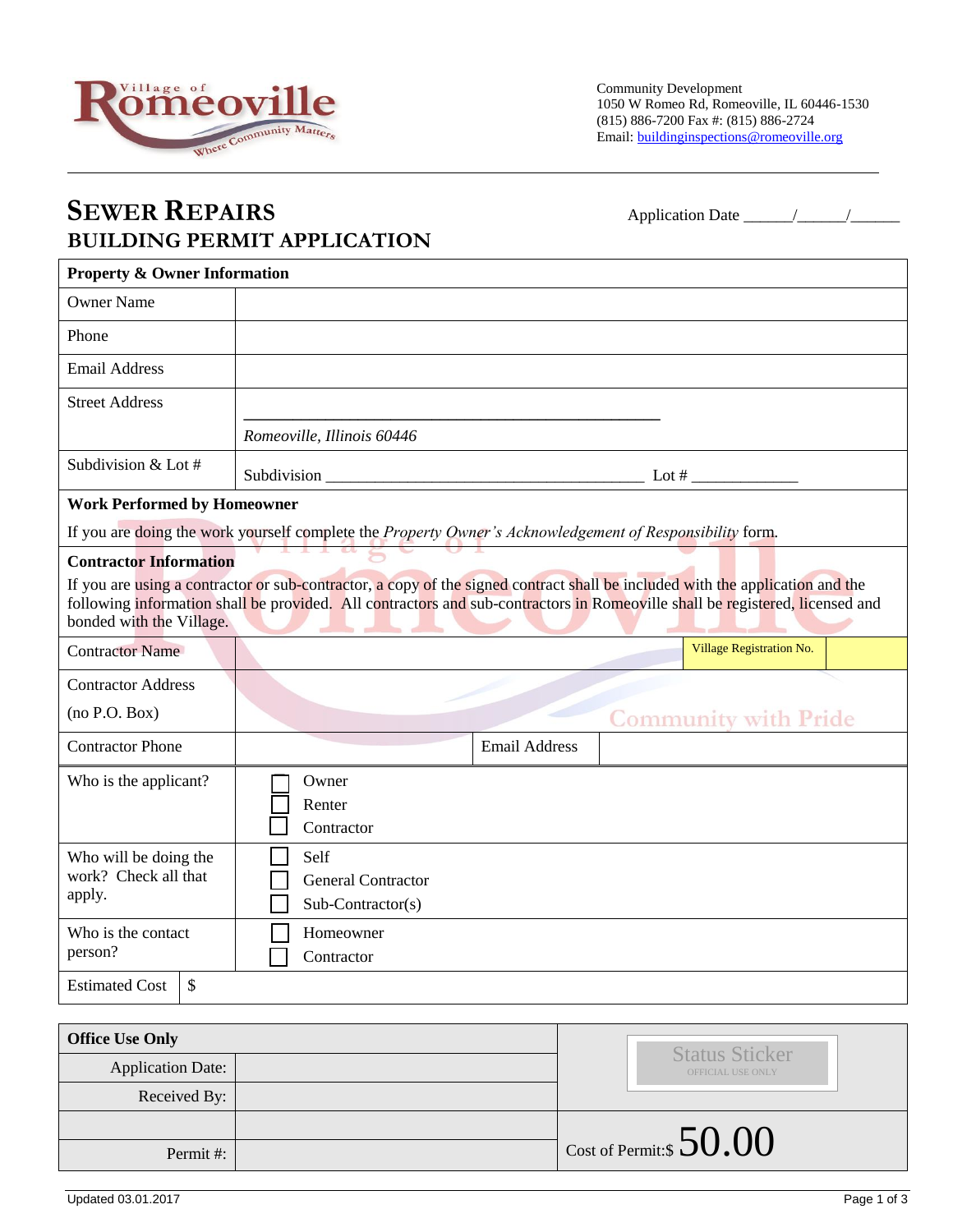

## **SEWER REPAIRS** Application Date \_\_\_\_\_\_/\_\_\_\_\_\_/\_\_\_\_\_\_ **BUILDING PERMIT APPLICATION**

| <b>Property &amp; Owner Information</b>                                                                                                                                                                                                                                                                                                                                                                                                                                                                                                                      |                                                                                                          |                      |                                 |
|--------------------------------------------------------------------------------------------------------------------------------------------------------------------------------------------------------------------------------------------------------------------------------------------------------------------------------------------------------------------------------------------------------------------------------------------------------------------------------------------------------------------------------------------------------------|----------------------------------------------------------------------------------------------------------|----------------------|---------------------------------|
| <b>Owner Name</b>                                                                                                                                                                                                                                                                                                                                                                                                                                                                                                                                            |                                                                                                          |                      |                                 |
| Phone                                                                                                                                                                                                                                                                                                                                                                                                                                                                                                                                                        |                                                                                                          |                      |                                 |
| <b>Email Address</b>                                                                                                                                                                                                                                                                                                                                                                                                                                                                                                                                         |                                                                                                          |                      |                                 |
| <b>Street Address</b>                                                                                                                                                                                                                                                                                                                                                                                                                                                                                                                                        |                                                                                                          |                      |                                 |
|                                                                                                                                                                                                                                                                                                                                                                                                                                                                                                                                                              | Romeoville, Illinois 60446                                                                               |                      |                                 |
| Subdivision & Lot #                                                                                                                                                                                                                                                                                                                                                                                                                                                                                                                                          |                                                                                                          |                      |                                 |
| <b>Work Performed by Homeowner</b>                                                                                                                                                                                                                                                                                                                                                                                                                                                                                                                           |                                                                                                          |                      |                                 |
|                                                                                                                                                                                                                                                                                                                                                                                                                                                                                                                                                              | If you are doing the work yourself complete the Property Owner's Acknowledgement of Responsibility form. |                      |                                 |
| <b>Contractor Information</b><br>If you are using a contractor or sub-contractor, a copy of the signed contract shall be included with the application and the<br>following information shall be provided. All contractors and sub-contractors in Romeoville shall be registered, licensed and<br>bonded with the Village.<br>and the second control of the second second second second second second second second second second second second second second second second second second second second second second second second second second second sec |                                                                                                          |                      |                                 |
| <b>Contractor Name</b>                                                                                                                                                                                                                                                                                                                                                                                                                                                                                                                                       |                                                                                                          |                      | <b>Village Registration No.</b> |
| <b>Contractor Address</b>                                                                                                                                                                                                                                                                                                                                                                                                                                                                                                                                    |                                                                                                          |                      |                                 |
| (no P.O. Box)                                                                                                                                                                                                                                                                                                                                                                                                                                                                                                                                                |                                                                                                          |                      | <b>Community with Pride</b>     |
| <b>Contractor Phone</b>                                                                                                                                                                                                                                                                                                                                                                                                                                                                                                                                      |                                                                                                          | <b>Email Address</b> |                                 |
| Who is the applicant?                                                                                                                                                                                                                                                                                                                                                                                                                                                                                                                                        | Owner<br>Renter<br>Contractor                                                                            |                      |                                 |
| Who will be doing the<br>work? Check all that<br>apply.                                                                                                                                                                                                                                                                                                                                                                                                                                                                                                      | Self<br><b>General Contractor</b><br>$Sub-Contractor(s)$                                                 |                      |                                 |
| Who is the contact                                                                                                                                                                                                                                                                                                                                                                                                                                                                                                                                           | Homeowner                                                                                                |                      |                                 |
| person?                                                                                                                                                                                                                                                                                                                                                                                                                                                                                                                                                      | Contractor                                                                                               |                      |                                 |

| <b>Office Use Only</b>   |  | <b>Status Sticker</b>             |  |
|--------------------------|--|-----------------------------------|--|
| <b>Application Date:</b> |  | OFFICIAL USE ONLY                 |  |
| Received By:             |  |                                   |  |
|                          |  |                                   |  |
| Permit#:                 |  | $\perp$ Cost of Permit:\$ $50.00$ |  |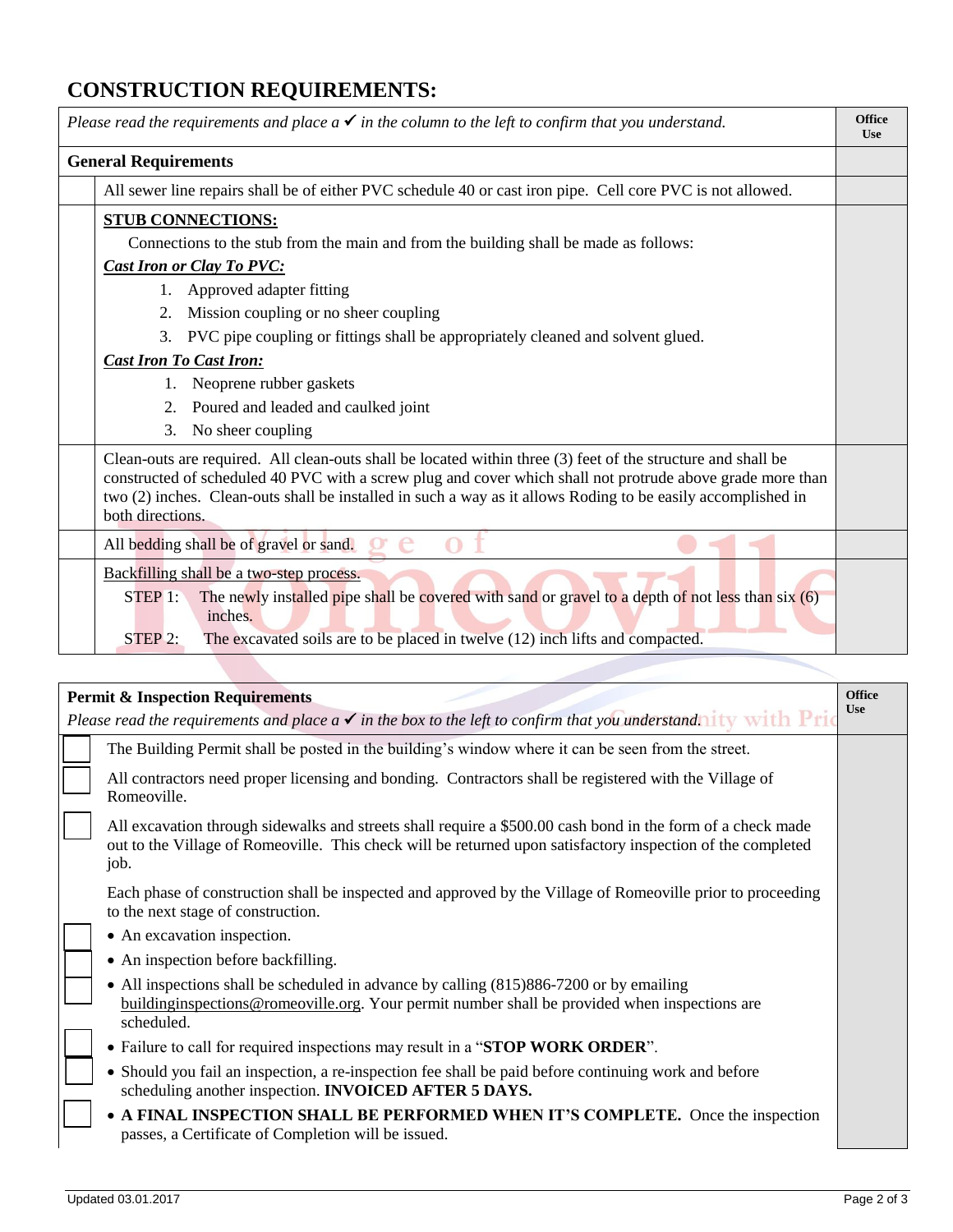## **CONSTRUCTION REQUIREMENTS:**

| Please read the requirements and place $a \checkmark$ in the column to the left to confirm that you understand.                                                                                                                                                                                                                                                | <b>Office</b><br><b>Use</b> |
|----------------------------------------------------------------------------------------------------------------------------------------------------------------------------------------------------------------------------------------------------------------------------------------------------------------------------------------------------------------|-----------------------------|
| <b>General Requirements</b>                                                                                                                                                                                                                                                                                                                                    |                             |
| All sewer line repairs shall be of either PVC schedule 40 or cast iron pipe. Cell core PVC is not allowed.                                                                                                                                                                                                                                                     |                             |
| <b>STUB CONNECTIONS:</b>                                                                                                                                                                                                                                                                                                                                       |                             |
| Connections to the stub from the main and from the building shall be made as follows:                                                                                                                                                                                                                                                                          |                             |
| <b>Cast Iron or Clay To PVC:</b>                                                                                                                                                                                                                                                                                                                               |                             |
| 1. Approved adapter fitting                                                                                                                                                                                                                                                                                                                                    |                             |
| 2. Mission coupling or no sheer coupling                                                                                                                                                                                                                                                                                                                       |                             |
| 3. PVC pipe coupling or fittings shall be appropriately cleaned and solvent glued.                                                                                                                                                                                                                                                                             |                             |
| <b>Cast Iron To Cast Iron:</b>                                                                                                                                                                                                                                                                                                                                 |                             |
| Neoprene rubber gaskets<br>1.                                                                                                                                                                                                                                                                                                                                  |                             |
| 2. Poured and leaded and caulked joint                                                                                                                                                                                                                                                                                                                         |                             |
| No sheer coupling<br>3.                                                                                                                                                                                                                                                                                                                                        |                             |
| Clean-outs are required. All clean-outs shall be located within three (3) feet of the structure and shall be<br>constructed of scheduled 40 PVC with a screw plug and cover which shall not protrude above grade more than<br>two (2) inches. Clean-outs shall be installed in such a way as it allows Roding to be easily accomplished in<br>both directions. |                             |
| All bedding shall be of gravel or sand.                                                                                                                                                                                                                                                                                                                        |                             |
| Backfilling shall be a two-step process.<br>The newly installed pipe shall be covered with sand or gravel to a depth of not less than six (6)<br>$STEP$ 1:<br>inches.<br>The excavated soils are to be placed in twelve (12) inch lifts and compacted.<br>STEP 2:                                                                                              |                             |
|                                                                                                                                                                                                                                                                                                                                                                |                             |

| <b>Permit &amp; Inspection Requirements</b>                                                                                  |                                                                                                                                                                                                                                    |  |
|------------------------------------------------------------------------------------------------------------------------------|------------------------------------------------------------------------------------------------------------------------------------------------------------------------------------------------------------------------------------|--|
| Please read the requirements and place $a \checkmark$ in the box to the left to confirm that you understand. it ty with Pric |                                                                                                                                                                                                                                    |  |
|                                                                                                                              | The Building Permit shall be posted in the building's window where it can be seen from the street.                                                                                                                                 |  |
|                                                                                                                              | All contractors need proper licensing and bonding. Contractors shall be registered with the Village of<br>Romeoville.                                                                                                              |  |
|                                                                                                                              | All excavation through sidewalks and streets shall require a \$500.00 cash bond in the form of a check made<br>out to the Village of Romeoville. This check will be returned upon satisfactory inspection of the completed<br>job. |  |
|                                                                                                                              | Each phase of construction shall be inspected and approved by the Village of Romeoville prior to proceeding<br>to the next stage of construction.                                                                                  |  |
|                                                                                                                              | • An excavation inspection.                                                                                                                                                                                                        |  |
|                                                                                                                              | • An inspection before backfilling.                                                                                                                                                                                                |  |
|                                                                                                                              | • All inspections shall be scheduled in advance by calling (815)886-7200 or by emailing<br>building inspections @ romeoville.org. Your permit number shall be provided when inspections are<br>scheduled.                          |  |
|                                                                                                                              | • Failure to call for required inspections may result in a "STOP WORK ORDER".                                                                                                                                                      |  |
|                                                                                                                              | • Should you fail an inspection, a re-inspection fee shall be paid before continuing work and before<br>scheduling another inspection. INVOICED AFTER 5 DAYS.                                                                      |  |
|                                                                                                                              | • A FINAL INSPECTION SHALL BE PERFORMED WHEN IT'S COMPLETE. Once the inspection<br>passes, a Certificate of Completion will be issued.                                                                                             |  |